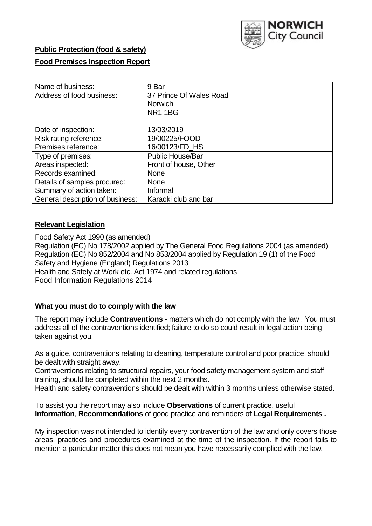

## **Public Protection (food & safety)**

# **Food Premises Inspection Report**

| Name of business:<br>Address of food business: | 9 Bar<br>37 Prince Of Wales Road<br><b>Norwich</b><br><b>NR11BG</b> |  |  |  |
|------------------------------------------------|---------------------------------------------------------------------|--|--|--|
| Date of inspection:                            | 13/03/2019                                                          |  |  |  |
| Risk rating reference:<br>Premises reference:  | 19/00225/FOOD<br>16/00123/FD_HS                                     |  |  |  |
| Type of premises:                              | <b>Public House/Bar</b>                                             |  |  |  |
| Areas inspected:                               | Front of house, Other                                               |  |  |  |
| Records examined:                              | <b>None</b>                                                         |  |  |  |
| Details of samples procured:                   | <b>None</b>                                                         |  |  |  |
| Summary of action taken:                       | Informal                                                            |  |  |  |
| General description of business:               | Karaoki club and bar                                                |  |  |  |

#### **Relevant Legislation**

Food Safety Act 1990 (as amended) Regulation (EC) No 178/2002 applied by The General Food Regulations 2004 (as amended) Regulation (EC) No 852/2004 and No 853/2004 applied by Regulation 19 (1) of the Food Safety and Hygiene (England) Regulations 2013 Health and Safety at Work etc. Act 1974 and related regulations Food Information Regulations 2014

## **What you must do to comply with the law**

The report may include **Contraventions** - matters which do not comply with the law . You must address all of the contraventions identified; failure to do so could result in legal action being taken against you.

As a guide, contraventions relating to cleaning, temperature control and poor practice, should be dealt with straight away.

Contraventions relating to structural repairs, your food safety management system and staff training, should be completed within the next 2 months.

Health and safety contraventions should be dealt with within 3 months unless otherwise stated.

To assist you the report may also include **Observations** of current practice, useful **Information**, **Recommendations** of good practice and reminders of **Legal Requirements .**

My inspection was not intended to identify every contravention of the law and only covers those areas, practices and procedures examined at the time of the inspection. If the report fails to mention a particular matter this does not mean you have necessarily complied with the law.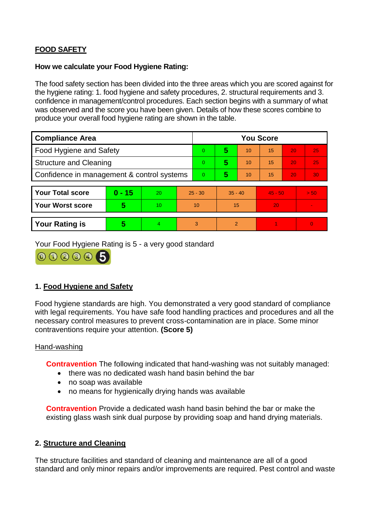# **FOOD SAFETY**

#### **How we calculate your Food Hygiene Rating:**

The food safety section has been divided into the three areas which you are scored against for the hygiene rating: 1. food hygiene and safety procedures, 2. structural requirements and 3. confidence in management/control procedures. Each section begins with a summary of what was observed and the score you have been given. Details of how these scores combine to produce your overall food hygiene rating are shown in the table.

| <b>Compliance Area</b>                     |          |    |                | <b>You Score</b> |           |    |           |    |                |  |  |
|--------------------------------------------|----------|----|----------------|------------------|-----------|----|-----------|----|----------------|--|--|
| Food Hygiene and Safety                    |          |    | $\Omega$       | 5                | 10        | 15 | 20        | 25 |                |  |  |
| <b>Structure and Cleaning</b>              |          |    | $\overline{0}$ | 5                | 10        | 15 | 20        | 25 |                |  |  |
| Confidence in management & control systems |          |    | $\overline{0}$ | 5                | 10        | 15 | 20        | 30 |                |  |  |
|                                            |          |    |                |                  |           |    |           |    |                |  |  |
| <b>Your Total score</b>                    | $0 - 15$ | 20 | $25 - 30$      |                  | $35 - 40$ |    | $45 - 50$ |    | > 50           |  |  |
| Your Worst score                           | 5        | 10 | 10             |                  | 15        |    | 20        |    |                |  |  |
|                                            |          |    |                |                  |           |    |           |    |                |  |  |
| <b>Your Rating is</b>                      | 5        | 4. | 3              |                  | 2         |    |           |    | $\overline{0}$ |  |  |

Your Food Hygiene Rating is 5 - a very good standard



# **1. Food Hygiene and Safety**

Food hygiene standards are high. You demonstrated a very good standard of compliance with legal requirements. You have safe food handling practices and procedures and all the necessary control measures to prevent cross-contamination are in place. Some minor contraventions require your attention. **(Score 5)**

#### Hand-washing

**Contravention** The following indicated that hand-washing was not suitably managed:

- there was no dedicated wash hand basin behind the bar
- no soap was available
- no means for hygienically drying hands was available

**Contravention** Provide a dedicated wash hand basin behind the bar or make the existing glass wash sink dual purpose by providing soap and hand drying materials.

#### **2. Structure and Cleaning**

The structure facilities and standard of cleaning and maintenance are all of a good standard and only minor repairs and/or improvements are required. Pest control and waste